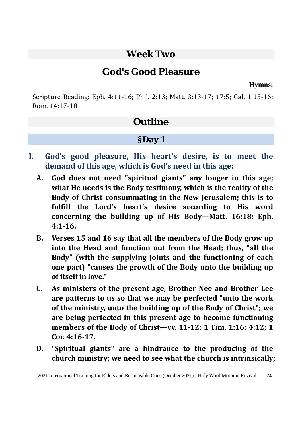### **Week Two**

## **God's Good Pleasure**

**Hymns:**

Scripture Reading: Eph. 4:11-16; Phil. 2:13; Matt. 3:13-17; 17:5; Gal. 1:15-16; Rom. 14:17-18

## **Outline**

### **§Day 1**

- **I. God's good pleasure, His heart's desire, is to meet the demand of this age, which is God's need in this age:**
	- **A. God does not need "spiritual giants" any longer in this age; what He needs is the Body testimony, which is the reality of the Body of Christ consummating in the New Jerusalem; this is to fulfill the Lord's heart's desire according to His word concerning the building up of His Body—Matt. 16:18; Eph. 4:1-16.**
	- **B. Verses 15 and 16 say that all the members of the Body grow up into the Head and function out from the Head; thus, "all the Body" (with the supplying joints and the functioning of each one part) "causes the growth of the Body unto the building up of itself in love."**
	- **C. As ministers of the present age, Brother Nee and Brother Lee are patterns to us so that we may be perfected "unto the work of the ministry, unto the building up of the Body of Christ"; we are being perfected in this present age to become functioning members of the Body of Christ—vv. 11-12; 1 Tim. 1:16; 4:12; 1 Cor. 4:16-17.**
	- **D. "Spiritual giants" are a hindrance to the producing of the church ministry; we need to see what the church is intrinsically;**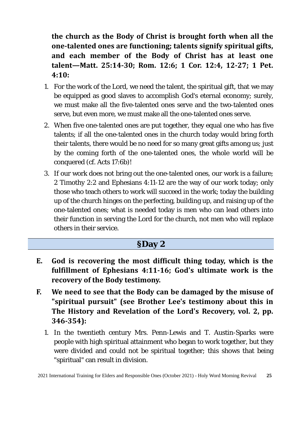**the church as the Body of Christ is brought forth when all the one-talented ones are functioning; talents signify spiritual gifts, and each member of the Body of Christ has at least one talent—Matt. 25:14-30; Rom. 12:6; 1 Cor. 12:4, 12-27; 1 Pet. 4:10:** 

- 1. For the work of the Lord, we need the talent, the spiritual gift, that we may be equipped as good slaves to accomplish God's eternal economy; surely, we must make all the five-talented ones serve and the two-talented ones serve, but even more, we must make all the one-talented ones serve.
- 2. When five one-talented ones are put together, they equal one who has five talents; if all the one-talented ones in the church today would bring forth their talents, there would be no need for so many great gifts among us; just by the coming forth of the one-talented ones, the whole world will be conquered (cf. Acts 17:6b)!
- 3. If our work does not bring out the one-talented ones, our work is a failure; 2 Timothy 2:2 and Ephesians 4:11-12 are the way of our work today; only those who teach others to work will succeed in the work; today the building up of the church hinges on the perfecting, building up, and raising up of the one-talented ones; what is needed today is men who can lead others into their function in serving the Lord for the church, not men who will replace others in their service.

#### **§Day 2**

- **E. God is recovering the most difficult thing today, which is the fulfillment of Ephesians 4:11-16; God's ultimate work is the recovery of the Body testimony.**
- **F. We need to see that the Body can be damaged by the misuse of "spiritual pursuit" (see Brother Lee's testimony about this in The History and Revelation of the Lord's Recovery, vol. 2, pp. 346-354):** 
	- 1. In the twentieth century Mrs. Penn-Lewis and T. Austin-Sparks were people with high spiritual attainment who began to work together, but they were divided and could not be spiritual together; this shows that being "spiritual" can result in division.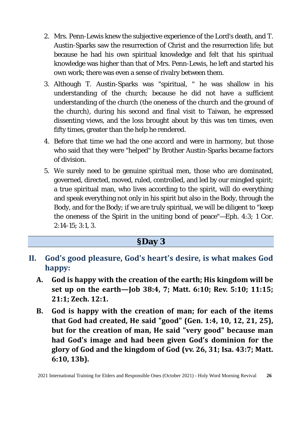- 2. Mrs. Penn-Lewis knew the subjective experience of the Lord's death, and T. Austin-Sparks saw the resurrection of Christ and the resurrection life; but because he had his own spiritual knowledge and felt that his spiritual knowledge was higher than that of Mrs. Penn-Lewis, he left and started his own work; there was even a sense of rivalry between them.
- 3. Although T. Austin-Sparks was "spiritual, " he was shallow in his understanding of the church; because he did not have a sufficient understanding of the church (the oneness of the church and the ground of the church), during his second and final visit to Taiwan, he expressed dissenting views, and the loss brought about by this was ten times, even fifty times, greater than the help he rendered.
- 4. Before that time we had the one accord and were in harmony, but those who said that they were "helped" by Brother Austin-Sparks became factors of division.
- 5. We surely need to be genuine spiritual men, those who are dominated, governed, directed, moved, ruled, controlled, and led by our mingled spirit; a true spiritual man, who lives according to the spirit, will do everything and speak everything not only in his spirit but also in the Body, through the Body, and for the Body; if we are truly spiritual, we will be diligent to "keep the oneness of the Spirit in the uniting bond of peace"—Eph. 4:3; 1 Cor. 2:14-15; 3:1, 3.

#### **§Day 3**

- **II. God's good pleasure, God's heart's desire, is what makes God happy:**
	- **A. God is happy with the creation of the earth; His kingdom will be set up on the earth—Job 38:4, 7; Matt. 6:10; Rev. 5:10; 11:15; 21:1; Zech. 12:1.**
	- **B. God is happy with the creation of man; for each of the items that God had created, He said "good" (Gen. 1:4, 10, 12, 21, 25), but for the creation of man, He said "very good" because man had God's image and had been given God's dominion for the glory of God and the kingdom of God (vv. 26, 31; Isa. 43:7; Matt. 6:10, 13b).**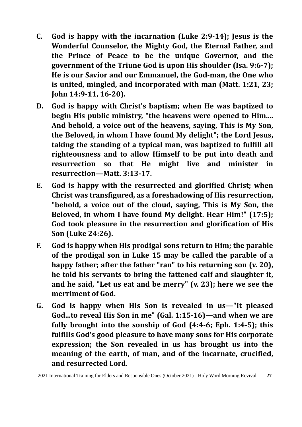- **C. God is happy with the incarnation (Luke 2:9-14); Jesus is the Wonderful Counselor, the Mighty God, the Eternal Father, and the Prince of Peace to be the unique Governor, and the government of the Triune God is upon His shoulder (Isa. 9:6-7); He is our Savior and our Emmanuel, the God-man, the One who is united, mingled, and incorporated with man (Matt. 1:21, 23; John 14:9-11, 16-20).**
- **D. God is happy with Christ's baptism; when He was baptized to begin His public ministry, "the heavens were opened to Him.... And behold, a voice out of the heavens, saying, This is My Son, the Beloved, in whom I have found My delight"; the Lord Jesus, taking the standing of a typical man, was baptized to fulfill all righteousness and to allow Himself to be put into death and resurrection so that He might live and minister in resurrection—Matt. 3:13-17.**
- **E. God is happy with the resurrected and glorified Christ; when Christ was transfigured, as a foreshadowing of His resurrection, "behold, a voice out of the cloud, saying, This is My Son, the Beloved, in whom I have found My delight. Hear Him!" (17:5); God took pleasure in the resurrection and glorification of His Son (Luke 24:26).**
- **F. God is happy when His prodigal sons return to Him; the parable of the prodigal son in Luke 15 may be called the parable of a happy father; after the father "ran" to his returning son (v. 20), he told his servants to bring the fattened calf and slaughter it, and he said, "Let us eat and be merry" (v. 23); here we see the merriment of God.**
- **G. God is happy when His Son is revealed in us—"It pleased God...to reveal His Son in me" (Gal. 1:15-16)—and when we are fully brought into the sonship of God (4:4-6; Eph. 1:4-5); this fulfills God's good pleasure to have many sons for His corporate expression; the Son revealed in us has brought us into the meaning of the earth, of man, and of the incarnate, crucified, and resurrected Lord.**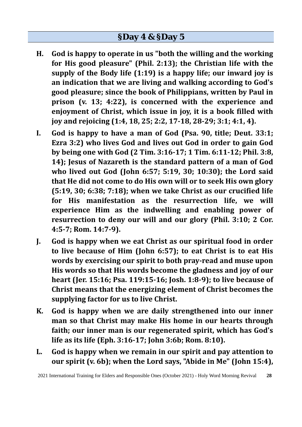- **H. God is happy to operate in us "both the willing and the working for His good pleasure" (Phil. 2:13); the Christian life with the supply of the Body life (1:19) is a happy life; our inward joy is an indication that we are living and walking according to God's good pleasure; since the book of Philippians, written by Paul in prison (v. 13; 4:22), is concerned with the experience and enjoyment of Christ, which issue in joy, it is a book filled with joy and rejoicing (1:4, 18, 25; 2:2, 17-18, 28-29; 3:1; 4:1, 4).**
- **I. God is happy to have a man of God (Psa. 90, title; Deut. 33:1; Ezra 3:2) who lives God and lives out God in order to gain God by being one with God (2 Tim. 3:16-17; 1 Tim. 6:11-12; Phil. 3:8, 14); Jesus of Nazareth is the standard pattern of a man of God who lived out God (John 6:57; 5:19, 30; 10:30); the Lord said that He did not come to do His own will or to seek His own glory (5:19, 30; 6:38; 7:18); when we take Christ as our crucified life for His manifestation as the resurrection life, we will experience Him as the indwelling and enabling power of resurrection to deny our will and our glory (Phil. 3:10; 2 Cor. 4:5-7; Rom. 14:7-9).**
- **J. God is happy when we eat Christ as our spiritual food in order to live because of Him (John 6:57); to eat Christ is to eat His words by exercising our spirit to both pray-read and muse upon His words so that His words become the gladness and joy of our heart (Jer. 15:16; Psa. 119:15-16; Josh. 1:8-9); to live because of Christ means that the energizing element of Christ becomes the supplying factor for us to live Christ.**
- **K. God is happy when we are daily strengthened into our inner man so that Christ may make His home in our hearts through faith; our inner man is our regenerated spirit, which has God's life as its life (Eph. 3:16-17; John 3:6b; Rom. 8:10).**
- **L. God is happy when we remain in our spirit and pay attention to our spirit (v. 6b); when the Lord says, "Abide in Me" (John 15:4),**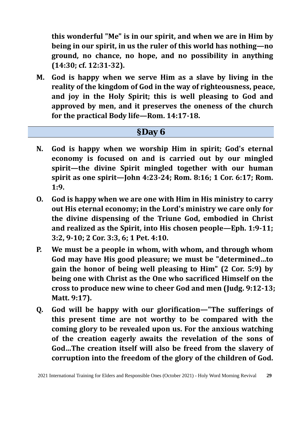**this wonderful "Me" is in our spirit, and when we are in Him by being in our spirit, in us the ruler of this world has nothing—no ground, no chance, no hope, and no possibility in anything (14:30; cf. 12:31-32).** 

**M. God is happy when we serve Him as a slave by living in the reality of the kingdom of God in the way of righteousness, peace, and joy in the Holy Spirit; this is well pleasing to God and approved by men, and it preserves the oneness of the church for the practical Body life—Rom. 14:17-18.** 

#### **§Day 6**

- **N. God is happy when we worship Him in spirit; God's eternal economy is focused on and is carried out by our mingled spirit—the divine Spirit mingled together with our human spirit as one spirit—John 4:23-24; Rom. 8:16; 1 Cor. 6:17; Rom. 1:9.**
- **O. God is happy when we are one with Him in His ministry to carry out His eternal economy; in the Lord's ministry we care only for the divine dispensing of the Triune God, embodied in Christ and realized as the Spirit, into His chosen people—Eph. 1:9-11; 3:2, 9-10; 2 Cor. 3:3, 6; 1 Pet. 4:10.**
- **P. We must be a people in whom, with whom, and through whom God may have His good pleasure; we must be "determined…to gain the honor of being well pleasing to Him" (2 Cor. 5:9) by being one with Christ as the One who sacrificed Himself on the cross to produce new wine to cheer God and men (Judg. 9:12-13; Matt. 9:17).**
- **Q. God will be happy with our glorification—"The sufferings of this present time are not worthy to be compared with the coming glory to be revealed upon us. For the anxious watching of the creation eagerly awaits the revelation of the sons of God…The creation itself will also be freed from the slavery of corruption into the freedom of the glory of the children of God.**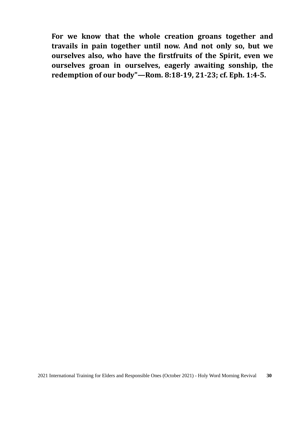**For we know that the whole creation groans together and travails in pain together until now. And not only so, but we ourselves also, who have the firstfruits of the Spirit, even we ourselves groan in ourselves, eagerly awaiting sonship, the redemption of our body"—Rom. 8:18-19, 21-23; cf. Eph. 1:4-5.**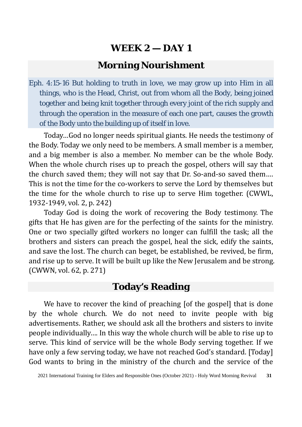### **Morning Nourishment**

Eph. 4:15-16 But holding to truth in love, we may grow up into Him in all things, who is the Head, Christ, out from whom all the Body, being joined together and being knit together through every joint of the rich supply and through the operation in the measure of each one part, causes the growth of the Body unto the building up of itself in love.

Today…God no longer needs spiritual giants. He needs the testimony of the Body. Today we only need to be members. A small member is a member, and a big member is also a member. No member can be the whole Body. When the whole church rises up to preach the gospel, others will say that the church saved them; they will not say that Dr. So-and-so saved them…. This is not the time for the co-workers to serve the Lord by themselves but the time for the whole church to rise up to serve Him together. (CWWL, 1932-1949, vol. 2, p. 242)

Today God is doing the work of recovering the Body testimony. The gifts that He has given are for the perfecting of the saints for the ministry. One or two specially gifted workers no longer can fulfill the task; all the brothers and sisters can preach the gospel, heal the sick, edify the saints, and save the lost. The church can beget, be established, be revived, be firm, and rise up to serve. It will be built up like the New Jerusalem and be strong. (CWWN, vol. 62, p. 271)

#### **Today's Reading**

We have to recover the kind of preaching [of the gospel] that is done by the whole church. We do not need to invite people with big advertisements. Rather, we should ask all the brothers and sisters to invite people individually…. In this way the whole church will be able to rise up to serve. This kind of service will be the whole Body serving together. If we have only a few serving today, we have not reached God's standard. [Today] God wants to bring in the ministry of the church and the service of the

<sup>2021</sup> International Training for Elders and Responsible Ones (October 2021) - Holy Word Morning Revival **31**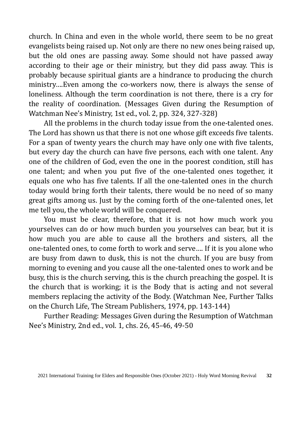church. In China and even in the whole world, there seem to be no great evangelists being raised up. Not only are there no new ones being raised up, but the old ones are passing away. Some should not have passed away according to their age or their ministry, but they did pass away. This is probably because spiritual giants are a hindrance to producing the church ministry….Even among the co-workers now, there is always the sense of loneliness. Although the term coordination is not there, there is a cry for the reality of coordination. (Messages Given during the Resumption of Watchman Nee's Ministry, 1st ed., vol. 2, pp. 324, 327-328)

All the problems in the church today issue from the one-talented ones. The Lord has shown us that there is not one whose gift exceeds five talents. For a span of twenty years the church may have only one with five talents, but every day the church can have five persons, each with one talent. Any one of the children of God, even the one in the poorest condition, still has one talent; and when you put five of the one-talented ones together, it equals one who has five talents. If all the one-talented ones in the church today would bring forth their talents, there would be no need of so many great gifts among us. Just by the coming forth of the one-talented ones, let me tell you, the whole world will be conquered.

You must be clear, therefore, that it is not how much work you yourselves can do or how much burden you yourselves can bear, but it is how much you are able to cause all the brothers and sisters, all the one-talented ones, to come forth to work and serve…. If it is you alone who are busy from dawn to dusk, this is not the church. If you are busy from morning to evening and you cause all the one-talented ones to work and be busy, this is the church serving, this is the church preaching the gospel. It is the church that is working; it is the Body that is acting and not several members replacing the activity of the Body. (Watchman Nee, Further Talks on the Church Life, The Stream Publishers, 1974, pp. 143-144)

Further Reading: Messages Given during the Resumption of Watchman Nee's Ministry, 2nd ed., vol. 1, chs. 26, 45-46, 49-50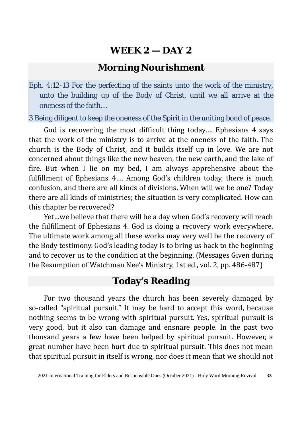#### **Morning Nourishment**

Eph. 4:12-13 For the perfecting of the saints unto the work of the ministry, unto the building up of the Body of Christ, until we all arrive at the oneness of the faith…

3 Being diligent to keep the oneness of the Spirit in the uniting bond of peace.

God is recovering the most difficult thing today…. Ephesians 4 says that the work of the ministry is to arrive at the oneness of the faith. The church is the Body of Christ, and it builds itself up in love. We are not concerned about things like the new heaven, the new earth, and the lake of fire. But when I lie on my bed, I am always apprehensive about the fulfillment of Ephesians 4…. Among God's children today, there is much confusion, and there are all kinds of divisions. When will we be one? Today there are all kinds of ministries; the situation is very complicated. How can this chapter be recovered?

Yet…we believe that there will be a day when God's recovery will reach the fulfillment of Ephesians 4. God is doing a recovery work everywhere. The ultimate work among all these works may very well be the recovery of the Body testimony. God's leading today is to bring us back to the beginning and to recover us to the condition at the beginning. (Messages Given during the Resumption of Watchman Nee's Ministry, 1st ed., vol. 2, pp. 486-487)

#### **Today's Reading**

For two thousand years the church has been severely damaged by so-called "spiritual pursuit." It may be hard to accept this word, because nothing seems to be wrong with spiritual pursuit. Yes, spiritual pursuit is very good, but it also can damage and ensnare people. In the past two thousand years a few have been helped by spiritual pursuit. However, a great number have been hurt due to spiritual pursuit. This does not mean that spiritual pursuit in itself is wrong, nor does it mean that we should not

<sup>2021</sup> International Training for Elders and Responsible Ones (October 2021) - Holy Word Morning Revival **33**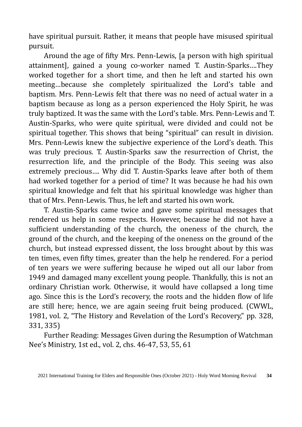have spiritual pursuit. Rather, it means that people have misused spiritual pursuit.

Around the age of fifty Mrs. Penn-Lewis, [a person with high spiritual attainment], gained a young co-worker named T. Austin-Sparks….They worked together for a short time, and then he left and started his own meeting…because she completely spiritualized the Lord's table and baptism. Mrs. Penn-Lewis felt that there was no need of actual water in a baptism because as long as a person experienced the Holy Spirit, he was truly baptized. It was the same with the Lord's table. Mrs. Penn-Lewis and T. Austin-Sparks, who were quite spiritual, were divided and could not be spiritual together. This shows that being "spiritual" can result in division. Mrs. Penn-Lewis knew the subjective experience of the Lord's death. This was truly precious. T. Austin-Sparks saw the resurrection of Christ, the resurrection life, and the principle of the Body. This seeing was also extremely precious…. Why did T. Austin-Sparks leave after both of them had worked together for a period of time? It was because he had his own spiritual knowledge and felt that his spiritual knowledge was higher than that of Mrs. Penn-Lewis. Thus, he left and started his own work.

T. Austin-Sparks came twice and gave some spiritual messages that rendered us help in some respects. However, because he did not have a sufficient understanding of the church, the oneness of the church, the ground of the church, and the keeping of the oneness on the ground of the church, but instead expressed dissent, the loss brought about by this was ten times, even fifty times, greater than the help he rendered. For a period of ten years we were suffering because he wiped out all our labor from 1949 and damaged many excellent young people. Thankfully, this is not an ordinary Christian work. Otherwise, it would have collapsed a long time ago. Since this is the Lord's recovery, the roots and the hidden flow of life are still here; hence, we are again seeing fruit being produced. (CWWL, 1981, vol. 2, "The History and Revelation of the Lord's Recovery," pp. 328, 331, 335)

Further Reading: Messages Given during the Resumption of Watchman Nee's Ministry, 1st ed., vol. 2, chs. 46-47, 53, 55, 61

<sup>2021</sup> International Training for Elders and Responsible Ones (October 2021) - Holy Word Morning Revival **34**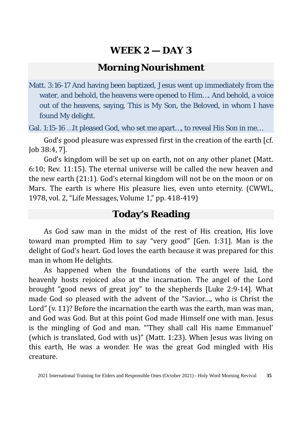### **Morning Nourishment**

Matt. 3:16-17 And having been baptized, Jesus went up immediately from the water, and behold, the heavens were opened to Him…. And behold, a voice out of the heavens, saying, This is My Son, the Beloved, in whom I have found My delight.

Gal. 1:15-16 …It pleased God, who set me apart…, to reveal His Son in me…

God's good pleasure was expressed first in the creation of the earth [cf. Job 38:4, 7].

God's kingdom will be set up on earth, not on any other planet (Matt. 6:10; Rev. 11:15). The eternal universe will be called the new heaven and the new earth (21:1). God's eternal kingdom will not be on the moon or on Mars. The earth is where His pleasure lies, even unto eternity. (CWWL, 1978, vol. 2, "Life Messages, Volume 1," pp. 418-419)

#### **Today's Reading**

As God saw man in the midst of the rest of His creation, His love toward man prompted Him to say "very good" [Gen. 1:31]. Man is the delight of God's heart. God loves the earth because it was prepared for this man in whom He delights.

As happened when the foundations of the earth were laid, the heavenly hosts rejoiced also at the incarnation. The angel of the Lord brought "good news of great joy" to the shepherds [Luke 2:9-14]. What made God so pleased with the advent of the "Savior…, who is Christ the Lord" (v. 11)? Before the incarnation the earth was the earth, man was man, and God was God. But at this point God made Himself one with man. Jesus is the mingling of God and man. "'They shall call His name Emmanuel' (which is translated, God with us)" (Matt. 1:23). When Jesus was living on this earth, He was a wonder. He was the great God mingled with His creature.

<sup>2021</sup> International Training for Elders and Responsible Ones (October 2021) - Holy Word Morning Revival **35**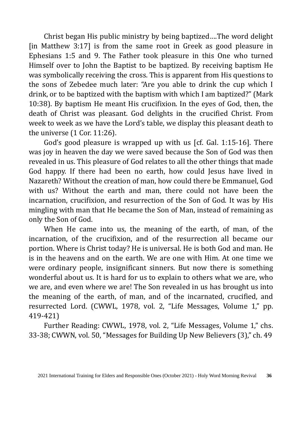Christ began His public ministry by being baptized….The word delight [in Matthew 3:17] is from the same root in Greek as good pleasure in Ephesians 1:5 and 9. The Father took pleasure in this One who turned Himself over to John the Baptist to be baptized. By receiving baptism He was symbolically receiving the cross. This is apparent from His questions to the sons of Zebedee much later: "Are you able to drink the cup which I drink, or to be baptized with the baptism with which I am baptized?" (Mark 10:38). By baptism He meant His crucifixion. In the eyes of God, then, the death of Christ was pleasant. God delights in the crucified Christ. From week to week as we have the Lord's table, we display this pleasant death to the universe (1 Cor. 11:26).

God's good pleasure is wrapped up with us [cf. Gal. 1:15-16]. There was joy in heaven the day we were saved because the Son of God was then revealed in us. This pleasure of God relates to all the other things that made God happy. If there had been no earth, how could Jesus have lived in Nazareth? Without the creation of man, how could there be Emmanuel, God with us? Without the earth and man, there could not have been the incarnation, crucifixion, and resurrection of the Son of God. It was by His mingling with man that He became the Son of Man, instead of remaining as only the Son of God.

When He came into us, the meaning of the earth, of man, of the incarnation, of the crucifixion, and of the resurrection all became our portion. Where is Christ today? He is universal. He is both God and man. He is in the heavens and on the earth. We are one with Him. At one time we were ordinary people, insignificant sinners. But now there is something wonderful about us. It is hard for us to explain to others what we are, who we are, and even where we are! The Son revealed in us has brought us into the meaning of the earth, of man, and of the incarnated, crucified, and resurrected Lord. (CWWL, 1978, vol. 2, "Life Messages, Volume 1," pp. 419-421)

Further Reading: CWWL, 1978, vol. 2, "Life Messages, Volume 1," chs. 33-38; CWWN, vol. 50, "Messages for Building Up New Believers (3)," ch. 49

<sup>2021</sup> International Training for Elders and Responsible Ones (October 2021) - Holy Word Morning Revival **36**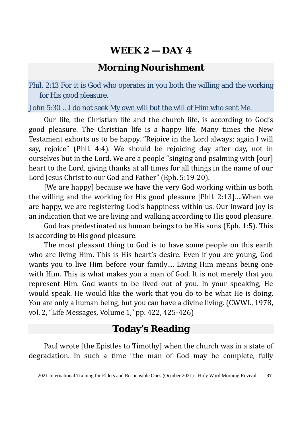### **Morning Nourishment**

Phil. 2:13 For it is God who operates in you both the willing and the working for His good pleasure.

John 5:30 …I do not seek My own will but the will of Him who sent Me.

Our life, the Christian life and the church life, is according to God's good pleasure. The Christian life is a happy life. Many times the New Testament exhorts us to be happy. "Rejoice in the Lord always; again I will say, rejoice" (Phil. 4:4). We should be rejoicing day after day, not in ourselves but in the Lord. We are a people "singing and psalming with [our] heart to the Lord, giving thanks at all times for all things in the name of our Lord Jesus Christ to our God and Father" (Eph. 5:19-20).

[We are happy] because we have the very God working within us both the willing and the working for His good pleasure [Phil. 2:13]….When we are happy, we are registering God's happiness within us. Our inward joy is an indication that we are living and walking according to His good pleasure.

God has predestinated us human beings to be His sons (Eph. 1:5). This is according to His good pleasure.

The most pleasant thing to God is to have some people on this earth who are living Him. This is His heart's desire. Even if you are young, God wants you to live Him before your family…. Living Him means being one with Him. This is what makes you a man of God. It is not merely that you represent Him. God wants to be lived out of you. In your speaking, He would speak. He would like the work that you do to be what He is doing. You are only a human being, but you can have a divine living. (CWWL, 1978, vol. 2, "Life Messages, Volume 1," pp. 422, 425-426)

### **Today's Reading**

Paul wrote [the Epistles to Timothy] when the church was in a state of degradation. In such a time "the man of God may be complete, fully

<sup>2021</sup> International Training for Elders and Responsible Ones (October 2021) - Holy Word Morning Revival **37**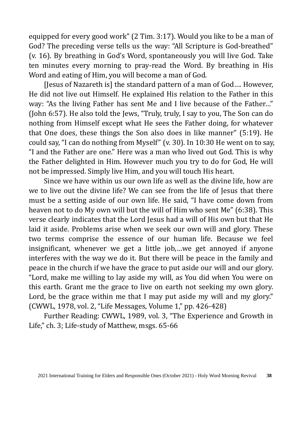equipped for every good work" (2 Tim. 3:17). Would you like to be a man of God? The preceding verse tells us the way: "All Scripture is God-breathed" (v. 16). By breathing in God's Word, spontaneously you will live God. Take ten minutes every morning to pray-read the Word. By breathing in His Word and eating of Him, you will become a man of God.

[Jesus of Nazareth is] the standard pattern of a man of God…. However, He did not live out Himself. He explained His relation to the Father in this way: "As the living Father has sent Me and I live because of the Father…" (John 6:57). He also told the Jews, "Truly, truly, I say to you, The Son can do nothing from Himself except what He sees the Father doing, for whatever that One does, these things the Son also does in like manner" (5:19). He could say, "I can do nothing from Myself" (v. 30). In 10:30 He went on to say, "I and the Father are one." Here was a man who lived out God. This is why the Father delighted in Him. However much you try to do for God, He will not be impressed. Simply live Him, and you will touch His heart.

Since we have within us our own life as well as the divine life, how are we to live out the divine life? We can see from the life of Jesus that there must be a setting aside of our own life. He said, "I have come down from heaven not to do My own will but the will of Him who sent Me" (6:38). This verse clearly indicates that the Lord Jesus had a will of His own but that He laid it aside. Problems arise when we seek our own will and glory. These two terms comprise the essence of our human life. Because we feel insignificant, whenever we get a little job,…we get annoyed if anyone interferes with the way we do it. But there will be peace in the family and peace in the church if we have the grace to put aside our will and our glory. "Lord, make me willing to lay aside my will, as You did when You were on this earth. Grant me the grace to live on earth not seeking my own glory. Lord, be the grace within me that I may put aside my will and my glory." (CWWL, 1978, vol. 2, "Life Messages, Volume 1," pp. 426-428)

Further Reading: CWWL, 1989, vol. 3, "The Experience and Growth in Life," ch. 3; Life-study of Matthew, msgs. 65-66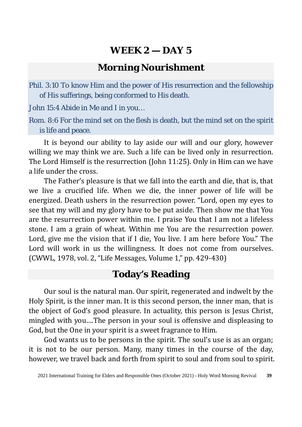### **Morning Nourishment**

Phil. 3:10 To know Him and the power of His resurrection and the fellowship of His sufferings, being conformed to His death.

John 15:4 Abide in Me and I in you…

Rom. 8:6 For the mind set on the flesh is death, but the mind set on the spirit is life and peace.

It is beyond our ability to lay aside our will and our glory, however willing we may think we are. Such a life can be lived only in resurrection. The Lord Himself is the resurrection (John 11:25). Only in Him can we have a life under the cross.

The Father's pleasure is that we fall into the earth and die, that is, that we live a crucified life. When we die, the inner power of life will be energized. Death ushers in the resurrection power. "Lord, open my eyes to see that my will and my glory have to be put aside. Then show me that You are the resurrection power within me. I praise You that I am not a lifeless stone. I am a grain of wheat. Within me You are the resurrection power. Lord, give me the vision that if I die, You live. I am here before You." The Lord will work in us the willingness. It does not come from ourselves. (CWWL, 1978, vol. 2, "Life Messages, Volume 1," pp. 429-430)

### **Today's Reading**

Our soul is the natural man. Our spirit, regenerated and indwelt by the Holy Spirit, is the inner man. It is this second person, the inner man, that is the object of God's good pleasure. In actuality, this person is Jesus Christ, mingled with you….The person in your soul is offensive and displeasing to God, but the One in your spirit is a sweet fragrance to Him.

God wants us to be persons in the spirit. The soul's use is as an organ; it is not to be our person. Many, many times in the course of the day, however, we travel back and forth from spirit to soul and from soul to spirit.

<sup>2021</sup> International Training for Elders and Responsible Ones (October 2021) - Holy Word Morning Revival **39**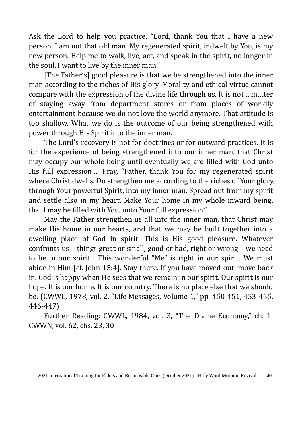Ask the Lord to help you practice. "Lord, thank You that I have a new person. I am not that old man. My regenerated spirit, indwelt by You, is my new person. Help me to walk, live, act, and speak in the spirit, no longer in the soul. I want to live by the inner man."

[The Father's] good pleasure is that we be strengthened into the inner man according to the riches of His glory. Morality and ethical virtue cannot compare with the expression of the divine life through us. It is not a matter of staying away from department stores or from places of worldly entertainment because we do not love the world anymore. That attitude is too shallow. What we do is the outcome of our being strengthened with power through His Spirit into the inner man.

The Lord's recovery is not for doctrines or for outward practices. It is for the experience of being strengthened into our inner man, that Christ may occupy our whole being until eventually we are filled with God unto His full expression…. Pray, "Father, thank You for my regenerated spirit where Christ dwells. Do strengthen me according to the riches of Your glory, through Your powerful Spirit, into my inner man. Spread out from my spirit and settle also in my heart. Make Your home in my whole inward being, that I may be filled with You, unto Your full expression."

May the Father strengthen us all into the inner man, that Christ may make His home in our hearts, and that we may be built together into a dwelling place of God in spirit. This is His good pleasure. Whatever confronts us—things great or small, good or bad, right or wrong—we need to be in our spirit….This wonderful "Me" is right in our spirit. We must abide in Him [cf. John 15:4]. Stay there. If you have moved out, move back in. God is happy when He sees that we remain in our spirit. Our spirit is our hope. It is our home. It is our country. There is no place else that we should be. (CWWL, 1978, vol. 2, "Life Messages, Volume 1," pp. 450-451, 453-455, 446-447)

Further Reading: CWWL, 1984, vol. 3, "The Divine Economy," ch. 1; CWWN, vol. 62, chs. 23, 30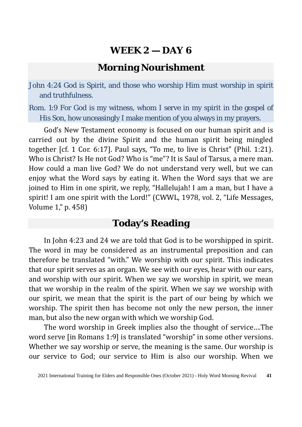### **Morning Nourishment**

John 4:24 God is Spirit, and those who worship Him must worship in spirit and truthfulness.

Rom. 1:9 For God is my witness, whom I serve in my spirit in the gospel of His Son, how unceasingly I make mention of you always in my prayers.

God's New Testament economy is focused on our human spirit and is carried out by the divine Spirit and the human spirit being mingled together [cf. 1 Cor. 6:17]. Paul says, "To me, to live is Christ" (Phil. 1:21). Who is Christ? Is He not God? Who is "me"? It is Saul of Tarsus, a mere man. How could a man live God? We do not understand very well, but we can enjoy what the Word says by eating it. When the Word says that we are joined to Him in one spirit, we reply, "Hallelujah! I am a man, but I have a spirit! I am one spirit with the Lord!" (CWWL, 1978, vol. 2, "Life Messages, Volume 1," p. 458)

#### **Today's Reading**

In John 4:23 and 24 we are told that God is to be worshipped in spirit. The word in may be considered as an instrumental preposition and can therefore be translated "with." We worship with our spirit. This indicates that our spirit serves as an organ. We see with our eyes, hear with our ears, and worship with our spirit. When we say we worship in spirit, we mean that we worship in the realm of the spirit. When we say we worship with our spirit, we mean that the spirit is the part of our being by which we worship. The spirit then has become not only the new person, the inner man, but also the new organ with which we worship God.

The word worship in Greek implies also the thought of service….The word serve [in Romans 1:9] is translated "worship" in some other versions. Whether we say worship or serve, the meaning is the same. Our worship is our service to God; our service to Him is also our worship. When we

<sup>2021</sup> International Training for Elders and Responsible Ones (October 2021) - Holy Word Morning Revival **41**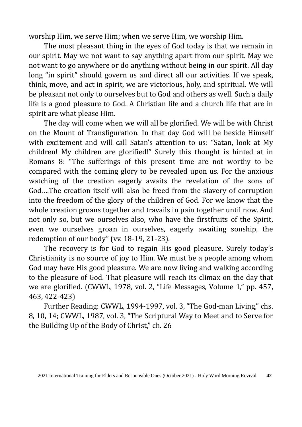worship Him, we serve Him; when we serve Him, we worship Him.

The most pleasant thing in the eyes of God today is that we remain in our spirit. May we not want to say anything apart from our spirit. May we not want to go anywhere or do anything without being in our spirit. All day long "in spirit" should govern us and direct all our activities. If we speak, think, move, and act in spirit, we are victorious, holy, and spiritual. We will be pleasant not only to ourselves but to God and others as well. Such a daily life is a good pleasure to God. A Christian life and a church life that are in spirit are what please Him.

The day will come when we will all be glorified. We will be with Christ on the Mount of Transfiguration. In that day God will be beside Himself with excitement and will call Satan's attention to us: "Satan, look at My children! My children are glorified!" Surely this thought is hinted at in Romans 8: "The sufferings of this present time are not worthy to be compared with the coming glory to be revealed upon us. For the anxious watching of the creation eagerly awaits the revelation of the sons of God….The creation itself will also be freed from the slavery of corruption into the freedom of the glory of the children of God. For we know that the whole creation groans together and travails in pain together until now. And not only so, but we ourselves also, who have the firstfruits of the Spirit, even we ourselves groan in ourselves, eagerly awaiting sonship, the redemption of our body" (vv. 18-19, 21-23).

The recovery is for God to regain His good pleasure. Surely today's Christianity is no source of joy to Him. We must be a people among whom God may have His good pleasure. We are now living and walking according to the pleasure of God. That pleasure will reach its climax on the day that we are glorified. (CWWL, 1978, vol. 2, "Life Messages, Volume 1," pp. 457, 463, 422-423)

Further Reading: CWWL, 1994-1997, vol. 3, "The God-man Living," chs. 8, 10, 14; CWWL, 1987, vol. 3, "The Scriptural Way to Meet and to Serve for the Building Up of the Body of Christ," ch. 26